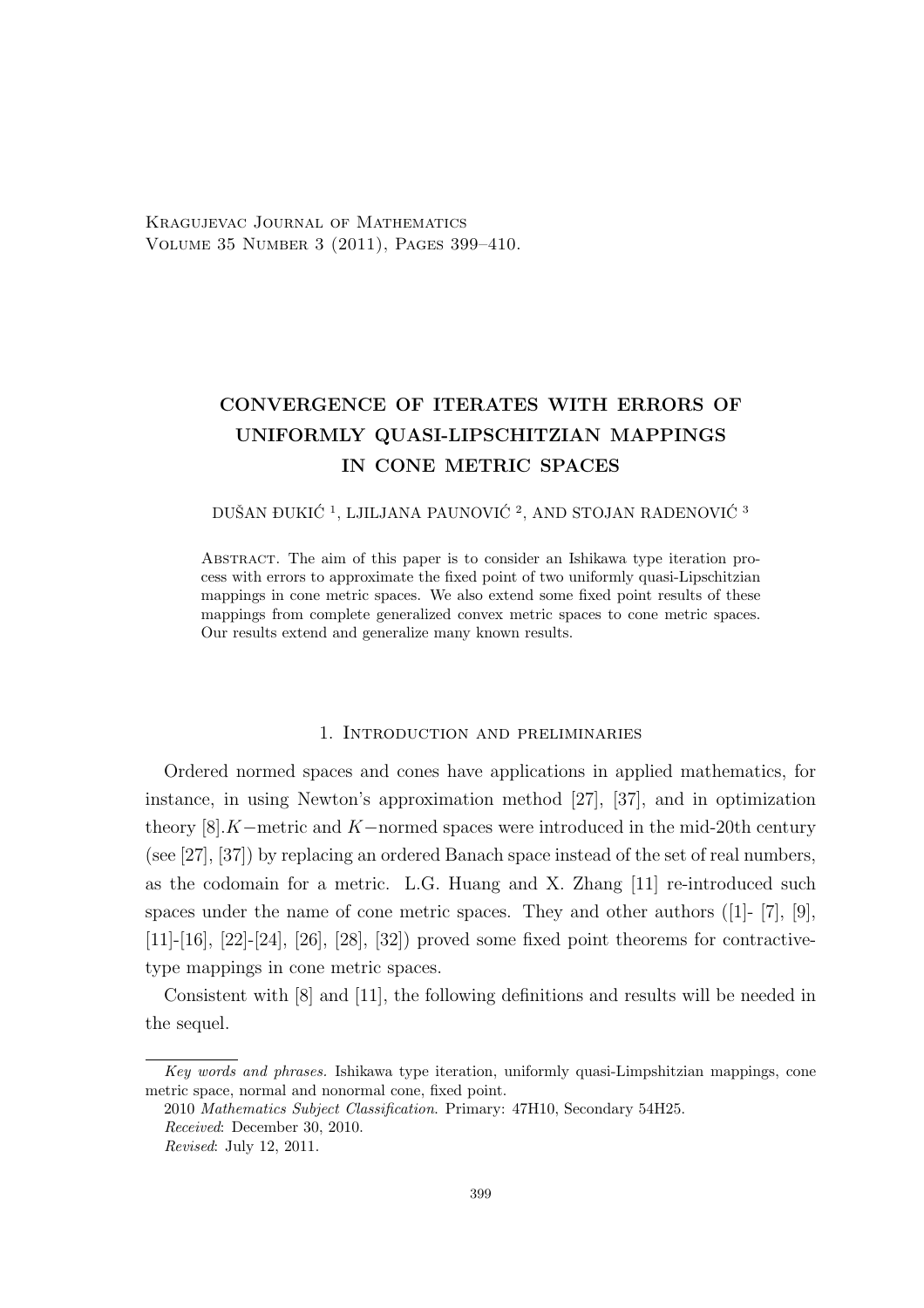Kragujevac Journal of Mathematics Volume 35 Number 3 (2011), Pages 399–410.

# CONVERGENCE OF ITERATES WITH ERRORS OF UNIFORMLY QUASI-LIPSCHITZIAN MAPPINGS IN CONE METRIC SPACES

DUŠAN ĐUKIĆ $^1,$ LJILJANA PAUNOVIĆ $^2,$ AND STOJAN RADENOVIĆ $^3$ 

Abstract. The aim of this paper is to consider an Ishikawa type iteration process with errors to approximate the fixed point of two uniformly quasi-Lipschitzian mappings in cone metric spaces. We also extend some fixed point results of these mappings from complete generalized convex metric spaces to cone metric spaces. Our results extend and generalize many known results.

## 1. Introduction and preliminaries

Ordered normed spaces and cones have applications in applied mathematics, for instance, in using Newton's approximation method [27], [37], and in optimization theory  $[8]$ .K–metric and K–normed spaces were introduced in the mid-20th century (see [27], [37]) by replacing an ordered Banach space instead of the set of real numbers, as the codomain for a metric. L.G. Huang and X. Zhang [11] re-introduced such spaces under the name of cone metric spaces. They and other authors ([1]- [7], [9], [11]-[16], [22]-[24], [26], [28], [32]) proved some fixed point theorems for contractivetype mappings in cone metric spaces.

Consistent with [8] and [11], the following definitions and results will be needed in the sequel.

Key words and phrases. Ishikawa type iteration, uniformly quasi-Limpshitzian mappings, cone metric space, normal and nonormal cone, fixed point.

<sup>2010</sup> Mathematics Subject Classification. Primary: 47H10, Secondary 54H25. Received: December 30, 2010.

Revised: July 12, 2011.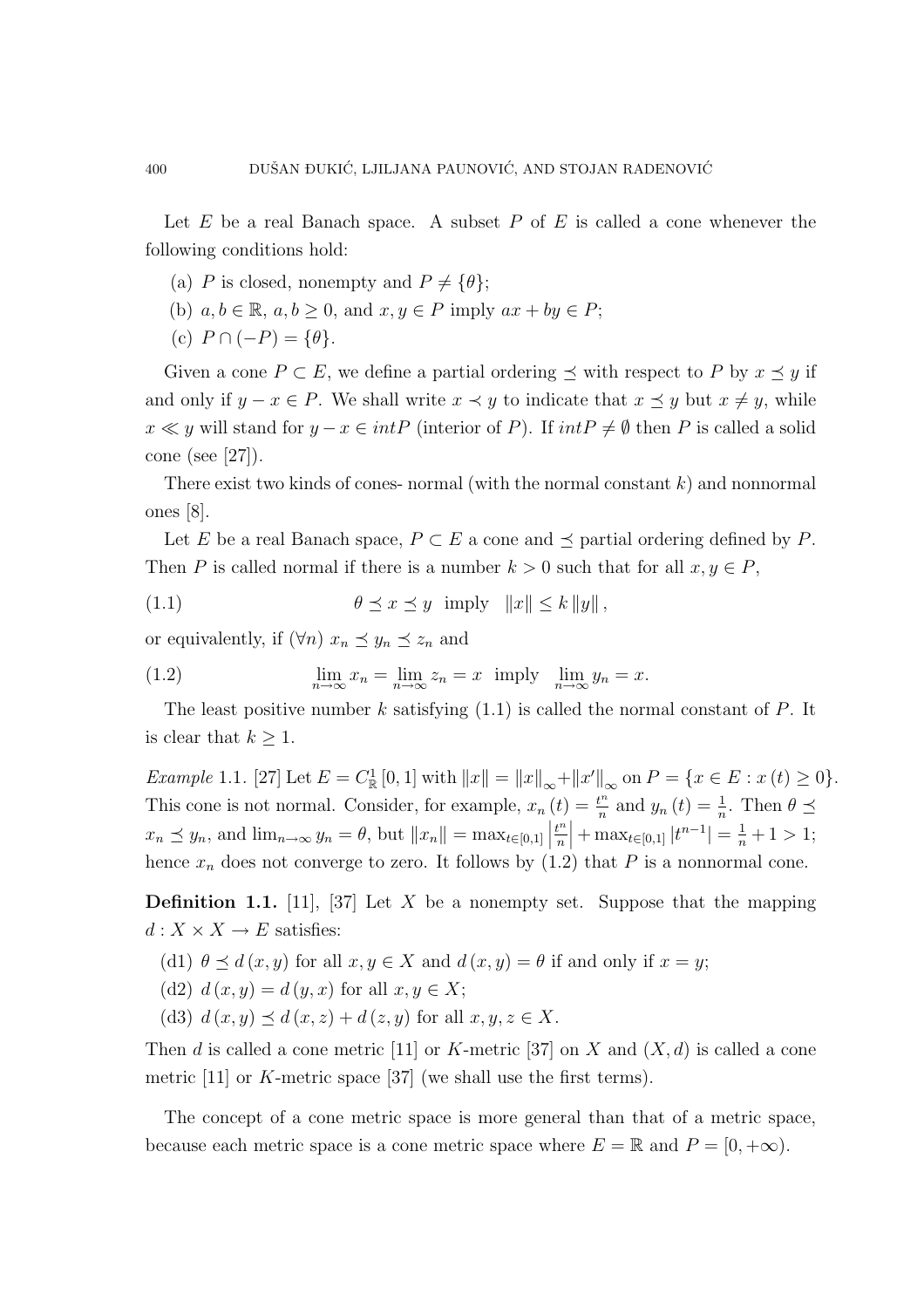Let  $E$  be a real Banach space. A subset  $P$  of  $E$  is called a cone whenever the following conditions hold:

- (a) P is closed, nonempty and  $P \neq {\theta}$ ;
- (b)  $a, b \in \mathbb{R}, a, b \ge 0$ , and  $x, y \in P$  imply  $ax + by \in P$ ;
- (c)  $P \cap (-P) = \{\theta\}.$

Given a cone  $P \subset E$ , we define a partial ordering  $\preceq$  with respect to P by  $x \preceq y$  if and only if  $y - x \in P$ . We shall write  $x \prec y$  to indicate that  $x \preceq y$  but  $x \neq y$ , while  $x \ll y$  will stand for  $y - x \in intP$  (interior of P). If  $intP \neq \emptyset$  then P is called a solid cone (see [27]).

There exist two kinds of cones- normal (with the normal constant  $k$ ) and nonnormal ones [8].

Let E be a real Banach space,  $P \subset E$  a cone and  $\preceq$  partial ordering defined by P. Then P is called normal if there is a number  $k > 0$  such that for all  $x, y \in P$ ,

(1.1) θ ¹ x ¹ y imply kxk ≤ k kyk ,

or equivalently, if  $(\forall n)$   $x_n \preceq y_n \preceq z_n$  and

(1.2) 
$$
\lim_{n \to \infty} x_n = \lim_{n \to \infty} z_n = x \text{ imply } \lim_{n \to \infty} y_n = x.
$$

The least positive number k satisfying  $(1.1)$  is called the normal constant of P. It is clear that  $k \geq 1$ .

Example 1.1. [27] Let  $E = C_{\mathbb{R}}^1 [0,1]$  with  $||x|| = ||x||_{\infty} + ||x'||_{\infty}$  on  $P = \{x \in E : x(t) \ge 0\}$ . This cone is not normal. Consider, for example,  $x_n(t) = \frac{t^n}{n}$  $\left(t\right) = \frac{t^n}{n}$  and  $y_n(t) = \frac{1}{n}$ . Then  $\theta \preceq$  $x_n \preceq y_n$ , and  $\lim_{n\to\infty} y_n = \theta$ , but  $||x_n|| = \max_{t \in [0,1]} \left|\frac{t^n}{n}\right|$ n  $\left|+\max_{t\in[0,1]}|t^{n-1}|=\frac{1}{n}+1>1;$ hence  $x_n$  does not converge to zero. It follows by  $(1.2)$  that P is a nonnormal cone.

**Definition 1.1.** [11], [37] Let X be a nonempty set. Suppose that the mapping  $d: X \times X \rightarrow E$  satisfies:

- (d1)  $\theta \preceq d(x, y)$  for all  $x, y \in X$  and  $d(x, y) = \theta$  if and only if  $x = y$ ;
- (d2)  $d(x, y) = d(y, x)$  for all  $x, y \in X$ ;
- (d3)  $d(x, y) \preceq d(x, z) + d(z, y)$  for all  $x, y, z \in X$ .

Then d is called a cone metric [11] or K-metric [37] on X and  $(X, d)$  is called a cone metric  $[11]$  or K-metric space  $[37]$  (we shall use the first terms).

The concept of a cone metric space is more general than that of a metric space, because each metric space is a cone metric space where  $E = \mathbb{R}$  and  $P = [0, +\infty)$ .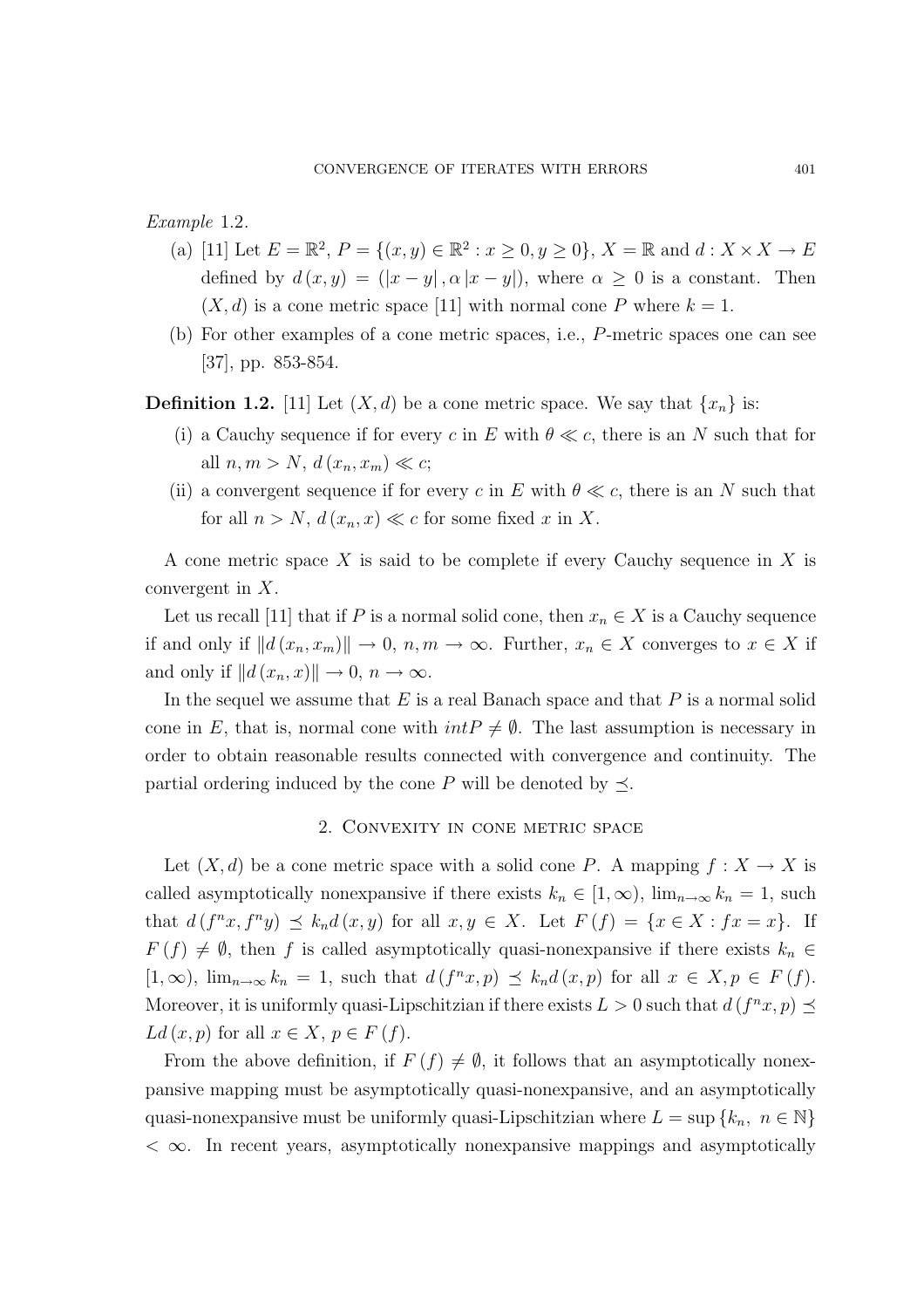Example 1.2.

- (a) [11] Let  $E = \mathbb{R}^2$ ,  $P = \{(x, y) \in \mathbb{R}^2 : x \ge 0, y \ge 0\}$ ,  $X = \mathbb{R}$  and  $d : X \times X \to E$ defined by  $d(x, y) = (|x - y|, \alpha |x - y|)$ , where  $\alpha \geq 0$  is a constant. Then  $(X, d)$  is a cone metric space [11] with normal cone P where  $k = 1$ .
- (b) For other examples of a cone metric spaces, i.e., P-metric spaces one can see [37], pp. 853-854.

**Definition 1.2.** [11] Let  $(X, d)$  be a cone metric space. We say that  $\{x_n\}$  is:

- (i) a Cauchy sequence if for every c in E with  $\theta \ll c$ , there is an N such that for all  $n, m > N$ ,  $d(x_n, x_m) \ll c$ ;
- (ii) a convergent sequence if for every c in E with  $\theta \ll c$ , there is an N such that for all  $n > N$ ,  $d(x_n, x) \ll c$  for some fixed x in X.

A cone metric space  $X$  is said to be complete if every Cauchy sequence in  $X$  is convergent in X.

Let us recall [11] that if P is a normal solid cone, then  $x_n \in X$  is a Cauchy sequence if and only if  $||d(x_n, x_m)|| \to 0$ ,  $n, m \to \infty$ . Further,  $x_n \in X$  converges to  $x \in X$  if and only if  $||d(x_n, x)|| \rightarrow 0, n \rightarrow \infty$ .

In the sequel we assume that  $E$  is a real Banach space and that  $P$  is a normal solid cone in E, that is, normal cone with  $intP \neq \emptyset$ . The last assumption is necessary in order to obtain reasonable results connected with convergence and continuity. The partial ordering induced by the cone P will be denoted by  $\preceq$ .

## 2. Convexity in cone metric space

Let  $(X, d)$  be a cone metric space with a solid cone P. A mapping  $f : X \to X$  is called asymptotically nonexpansive if there exists  $k_n \in [1,\infty)$ ,  $\lim_{n\to\infty} k_n = 1$ , such that  $d(f^n x, f^n y) \preceq k_n d(x, y)$  for all  $x, y \in X$ . Let  $F(f) = \{x \in X : fx = x\}$ . If  $F(f) \neq \emptyset$ , then f is called asymptotically quasi-nonexpansive if there exists  $k_n \in$  $[1,\infty)$ ,  $\lim_{n\to\infty} k_n = 1$ , such that  $d(f^n x, p) \preceq k_n d(x, p)$  for all  $x \in X, p \in F(f)$ . Moreover, it is uniformly quasi-Lipschitzian if there exists  $L > 0$  such that  $d(f^n x, p) \leq$  $Ld(x,p)$  for all  $x \in X, p \in F(f)$ .

From the above definition, if  $F(f) \neq \emptyset$ , it follows that an asymptotically nonexpansive mapping must be asymptotically quasi-nonexpansive, and an asymptotically quasi-nonexpansive must be uniformly quasi-Lipschitzian where  $L = \sup \{k_n, n \in \mathbb{N}\}\$  $<$   $\infty$ . In recent years, asymptotically nonexpansive mappings and asymptotically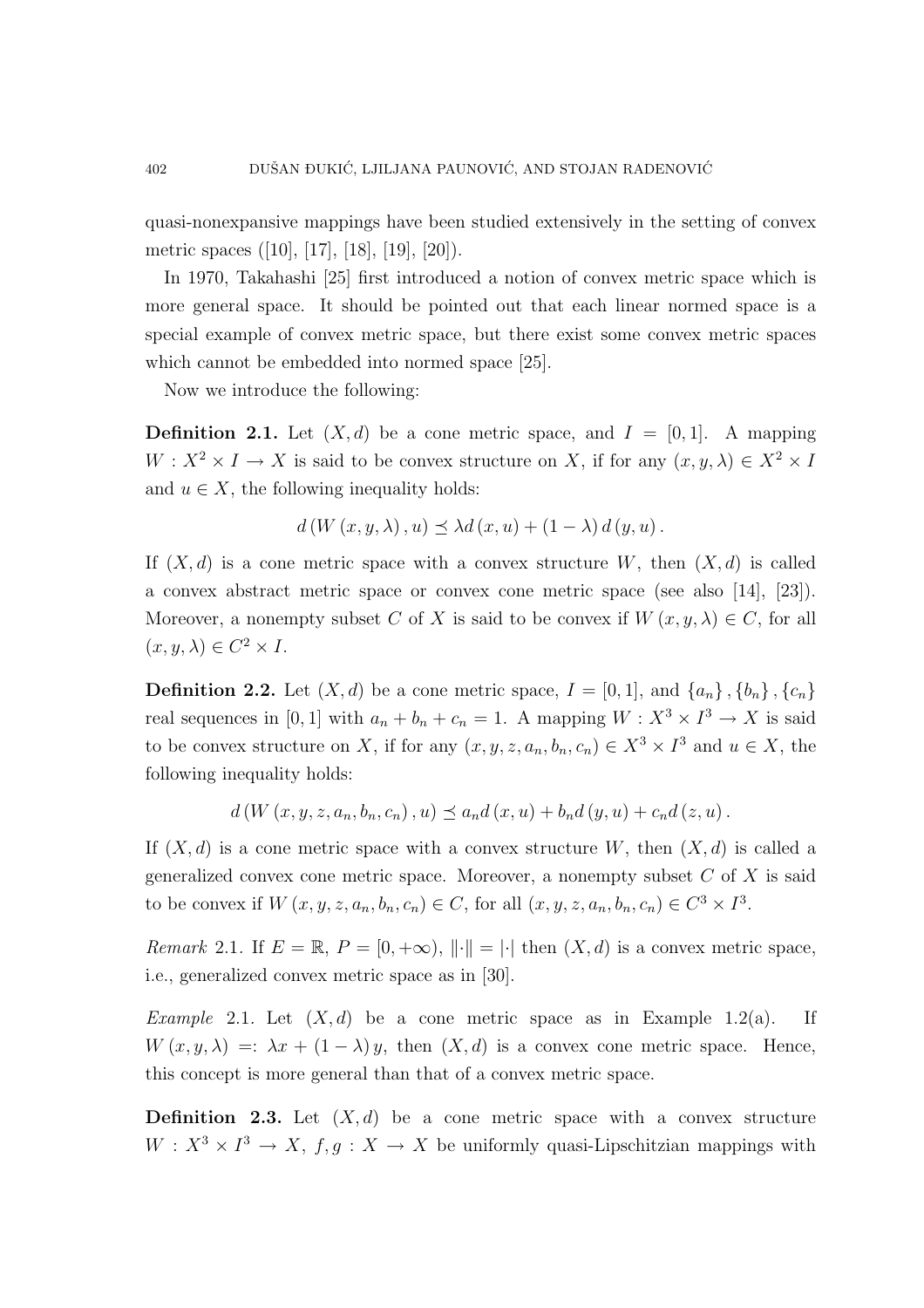quasi-nonexpansive mappings have been studied extensively in the setting of convex metric spaces ([10], [17], [18], [19], [20]).

In 1970, Takahashi [25] first introduced a notion of convex metric space which is more general space. It should be pointed out that each linear normed space is a special example of convex metric space, but there exist some convex metric spaces which cannot be embedded into normed space [25].

Now we introduce the following:

**Definition 2.1.** Let  $(X, d)$  be a cone metric space, and  $I = [0, 1]$ . A mapping  $W: X^2 \times I \to X$  is said to be convex structure on X, if for any  $(x, y, \lambda) \in X^2 \times I$ and  $u \in X$ , the following inequality holds:

$$
d(W(x, y, \lambda), u) \preceq \lambda d(x, u) + (1 - \lambda) d(y, u).
$$

If  $(X, d)$  is a cone metric space with a convex structure W, then  $(X, d)$  is called a convex abstract metric space or convex cone metric space (see also [14], [23]). Moreover, a nonempty subset C of X is said to be convex if  $W(x, y, \lambda) \in C$ , for all  $(x, y, \lambda) \in C^2 \times I$ .

**Definition 2.2.** Let  $(X, d)$  be a cone metric space,  $I = [0, 1]$ , and  $\{a_n\}$ ,  $\{b_n\}$ ,  $\{c_n\}$ real sequences in [0, 1] with  $a_n + b_n + c_n = 1$ . A mapping  $W : X^3 \times I^3 \to X$  is said to be convex structure on X, if for any  $(x, y, z, a_n, b_n, c_n) \in X^3 \times I^3$  and  $u \in X$ , the following inequality holds:

 $d(W(x, y, z, a_n, b_n, c_n), u) \preceq a_n d(x, u) + b_n d(y, u) + c_n d(z, u).$ 

If  $(X, d)$  is a cone metric space with a convex structure W, then  $(X, d)$  is called a generalized convex cone metric space. Moreover, a nonempty subset  $C$  of  $X$  is said to be convex if  $W(x, y, z, a_n, b_n, c_n) \in C$ , for all  $(x, y, z, a_n, b_n, c_n) \in C^3 \times I^3$ .

Remark 2.1. If  $E = \mathbb{R}, P = [0, +\infty), ||\cdot|| = |\cdot|$  then  $(X, d)$  is a convex metric space, i.e., generalized convex metric space as in [30].

*Example* 2.1. Let  $(X, d)$  be a cone metric space as in Example 1.2(a). If  $W(x, y, \lambda) =: \lambda x + (1 - \lambda) y$ , then  $(X, d)$  is a convex cone metric space. Hence, this concept is more general than that of a convex metric space.

**Definition 2.3.** Let  $(X, d)$  be a cone metric space with a convex structure  $W: X^3 \times I^3 \to X$ ,  $f, g: X \to X$  be uniformly quasi-Lipschitzian mappings with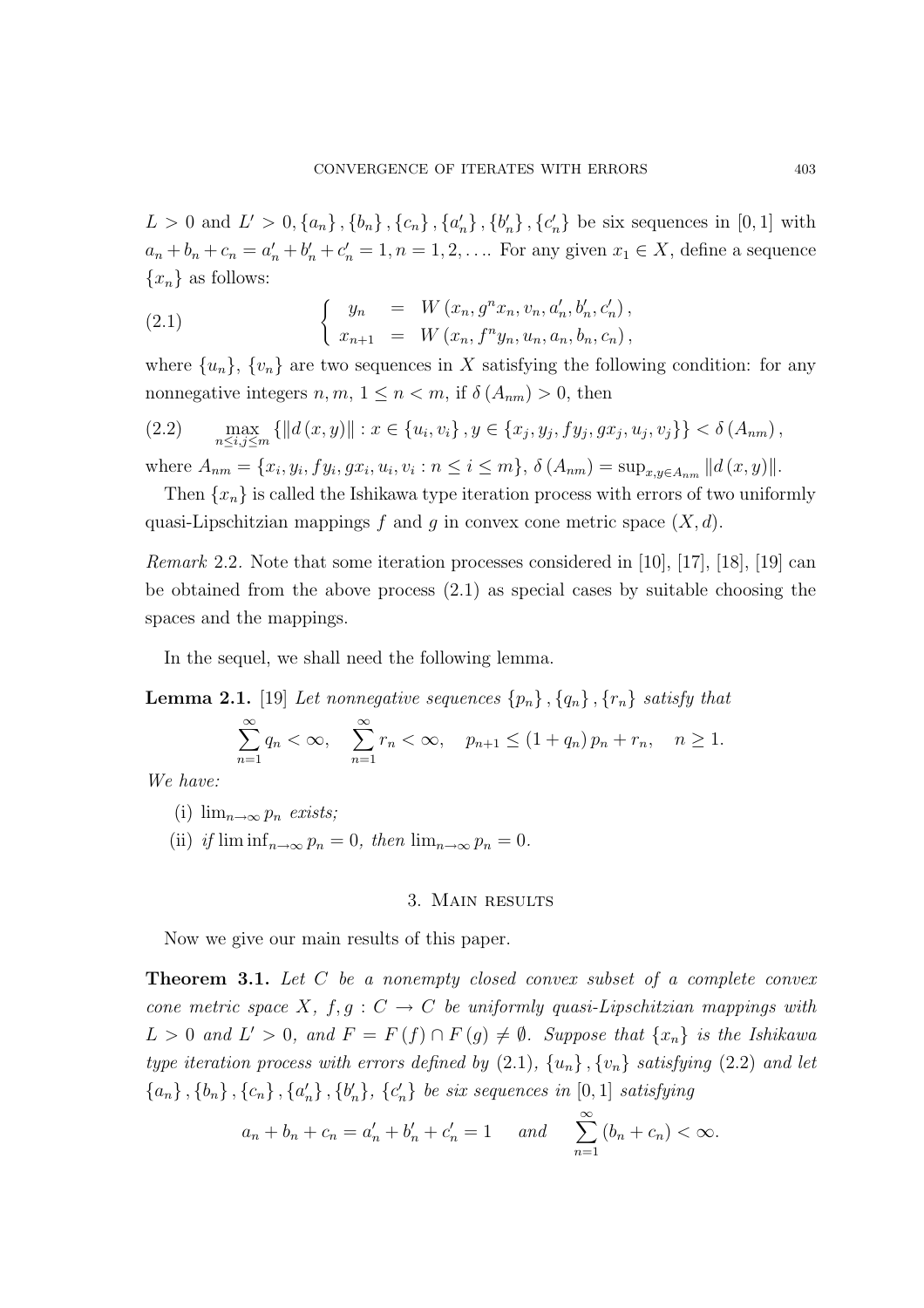$L > 0$  and  $L' > 0, \{a_n\}, \{b_n\}, \{c_n\}, \{a'_n\}, \{b'_n\}, \{c'_n\}$  be six sequences in [0, 1] with  $a_n + b_n + c_n = a'_n + b'_n + c'_n = 1, n = 1, 2, \dots$  For any given  $x_1 \in X$ , define a sequence  ${x_n}$  as follows:

(2.1) 
$$
\begin{cases} y_n = W(x_n, g^n x_n, v_n, a'_n, b'_n, c'_n), \\ x_{n+1} = W(x_n, f^n y_n, u_n, a_n, b_n, c_n), \end{cases}
$$

where  $\{u_n\}$ ,  $\{v_n\}$  are two sequences in X satisfying the following condition: for any nonnegative integers  $n, m, 1 \leq n < m$ , if  $\delta(A_{nm}) > 0$ , then

(2.2) max n≤i,j≤m {kd (x, y)k : x ∈ {u<sup>i</sup> , vi} , y ∈ {x<sup>j</sup> , y<sup>j</sup> , fy<sup>j</sup> , gx<sup>j</sup> , u<sup>j</sup> , vj}} < δ (Anm),

where  $A_{nm} = \{x_i, y_i, fy_i, gx_i, u_i, v_i : n \leq i \leq m\}, \delta(A_{nm}) = \sup_{x,y \in A_{nm}} ||d(x,y)||.$ 

Then  $\{x_n\}$  is called the Ishikawa type iteration process with errors of two uniformly quasi-Lipschitzian mappings f and g in convex cone metric space  $(X, d)$ .

Remark 2.2. Note that some iteration processes considered in [10], [17], [18], [19] can be obtained from the above process  $(2.1)$  as special cases by suitable choosing the spaces and the mappings.

In the sequel, we shall need the following lemma.

**Lemma 2.1.** [19] Let nonnegative sequences  $\{p_n\}$ ,  $\{q_n\}$ ,  $\{r_n\}$  satisfy that

$$
\sum_{n=1}^{\infty} q_n < \infty, \quad \sum_{n=1}^{\infty} r_n < \infty, \quad p_{n+1} \le (1 + q_n) p_n + r_n, \quad n \ge 1.
$$

We have:

- (i)  $\lim_{n\to\infty} p_n$  exists;
- (ii) if  $\liminf_{n\to\infty}p_n=0$ , then  $\lim_{n\to\infty}p_n=0$ .

### 3. Main results

Now we give our main results of this paper.

**Theorem 3.1.** Let C be a nonempty closed convex subset of a complete convex cone metric space X,  $f, g: C \to C$  be uniformly quasi-Lipschitzian mappings with  $L > 0$  and  $L' > 0$ , and  $F = F(f) \cap F(g) \neq \emptyset$ . Suppose that  $\{x_n\}$  is the Ishikawa type iteration process with errors defined by  $(2.1)$ ,  $\{u_n\}$ ,  $\{v_n\}$  satisfying  $(2.2)$  and let  ${a_n}$ ,  ${b_n}$ ,  ${c_n}$ ,  ${a'_n}$ ,  ${b'_n}$ ,  ${c'_n}$  be six sequences in [0, 1] satisfying

$$
a_n + b_n + c_n = a'_n + b'_n + c'_n = 1
$$
 and  $\sum_{n=1}^{\infty} (b_n + c_n) < \infty$ .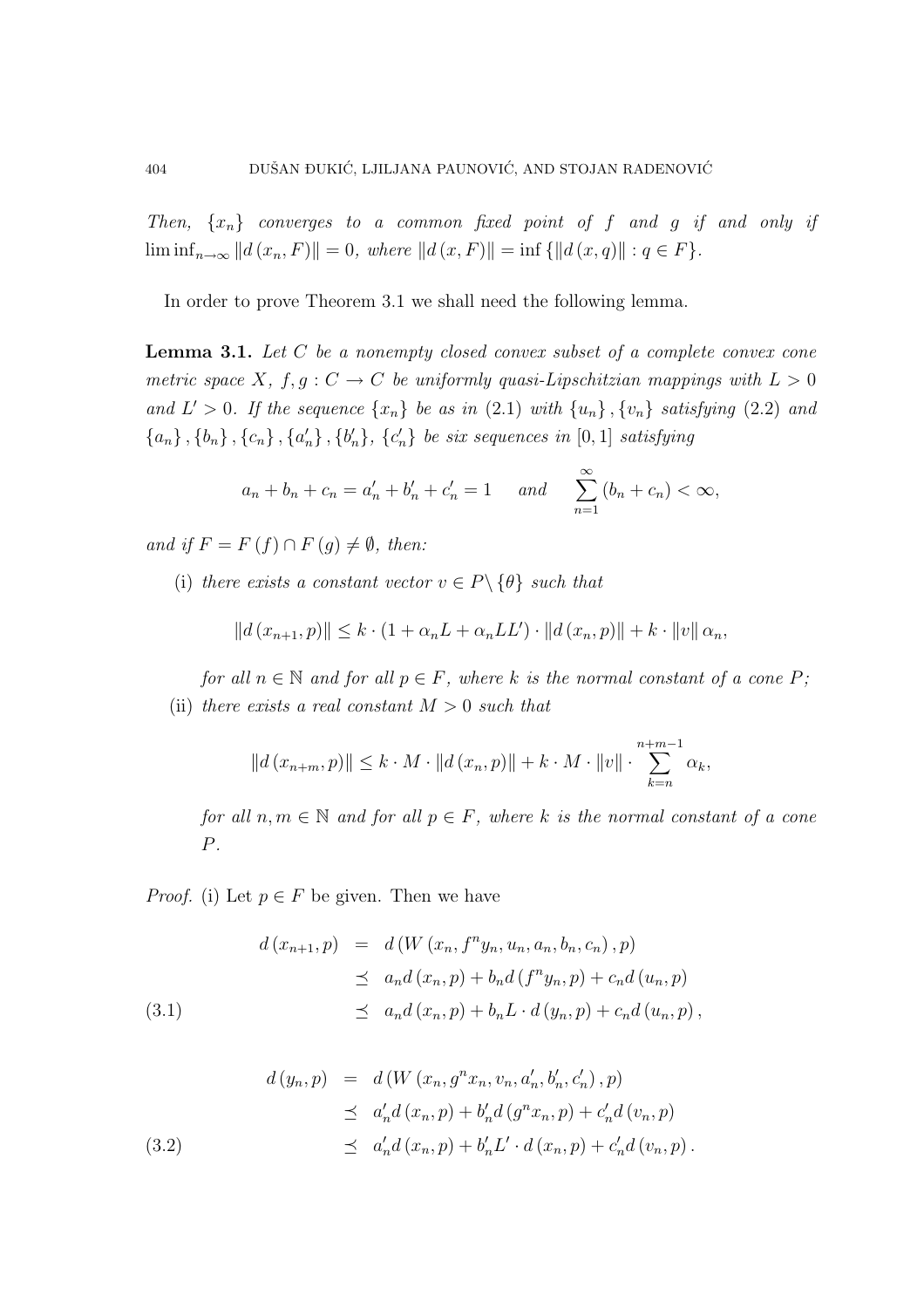Then,  $\{x_n\}$  converges to a common fixed point of f and g if and only if  $\liminf_{n\to\infty} ||d(x_n, F)|| = 0$ , where  $||d(x, F)|| = \inf {||d(x, q)|| : q \in F}.$ 

In order to prove Theorem 3.1 we shall need the following lemma.

**Lemma 3.1.** Let  $C$  be a nonempty closed convex subset of a complete convex cone metric space X,  $f, g: C \to C$  be uniformly quasi-Lipschitzian mappings with  $L > 0$ and  $L' > 0$ . If the sequence  $\{x_n\}$  be as in  $(2.1)$  with  $\{u_n\}$ ,  $\{v_n\}$  satisfying  $(2.2)$  and  ${a_n}$ ,  ${b_n}$ ,  ${c_n}$ ,  ${a'_n}$ ,  ${b'_n}$ ,  ${c'_n}$  be six sequences in [0, 1] satisfying

$$
a_n + b_n + c_n = a'_n + b'_n + c'_n = 1
$$
 and  $\sum_{n=1}^{\infty} (b_n + c_n) < \infty$ ,

and if  $F = F(f) \cap F(g) \neq \emptyset$ , then:

(i) there exists a constant vector  $v \in P \setminus \{\theta\}$  such that

$$
||d(x_{n+1}, p)|| \le k \cdot (1 + \alpha_n L + \alpha_n L L') \cdot ||d(x_n, p)|| + k \cdot ||v|| \alpha_n,
$$

for all  $n \in \mathbb{N}$  and for all  $p \in F$ , where k is the normal constant of a cone P; (ii) there exists a real constant  $M > 0$  such that

$$
||d(x_{n+m}, p)|| \le k \cdot M \cdot ||d(x_n, p)|| + k \cdot M \cdot ||v|| \cdot \sum_{k=n}^{n+m-1} \alpha_k,
$$

for all  $n, m \in \mathbb{N}$  and for all  $p \in F$ , where k is the normal constant of a cone P.

*Proof.* (i) Let  $p \in F$  be given. Then we have

(3.1) 
$$
d(x_{n+1}, p) = d(W(x_n, f^n y_n, u_n, a_n, b_n, c_n), p) \n\leq a_n d(x_n, p) + b_n d(f^n y_n, p) + c_n d(u_n, p) \n\leq a_n d(x_n, p) + b_n L \cdot d(y_n, p) + c_n d(u_n, p),
$$

(3.2)  
\n
$$
d(y_n, p) = d(W(x_n, g^n x_n, v_n, a'_n, b'_n, c'_n), p)
$$
\n
$$
\leq a'_n d(x_n, p) + b'_n d(g^n x_n, p) + c'_n d(v_n, p)
$$
\n
$$
\leq a'_n d(x_n, p) + b'_n L' \cdot d(x_n, p) + c'_n d(v_n, p).
$$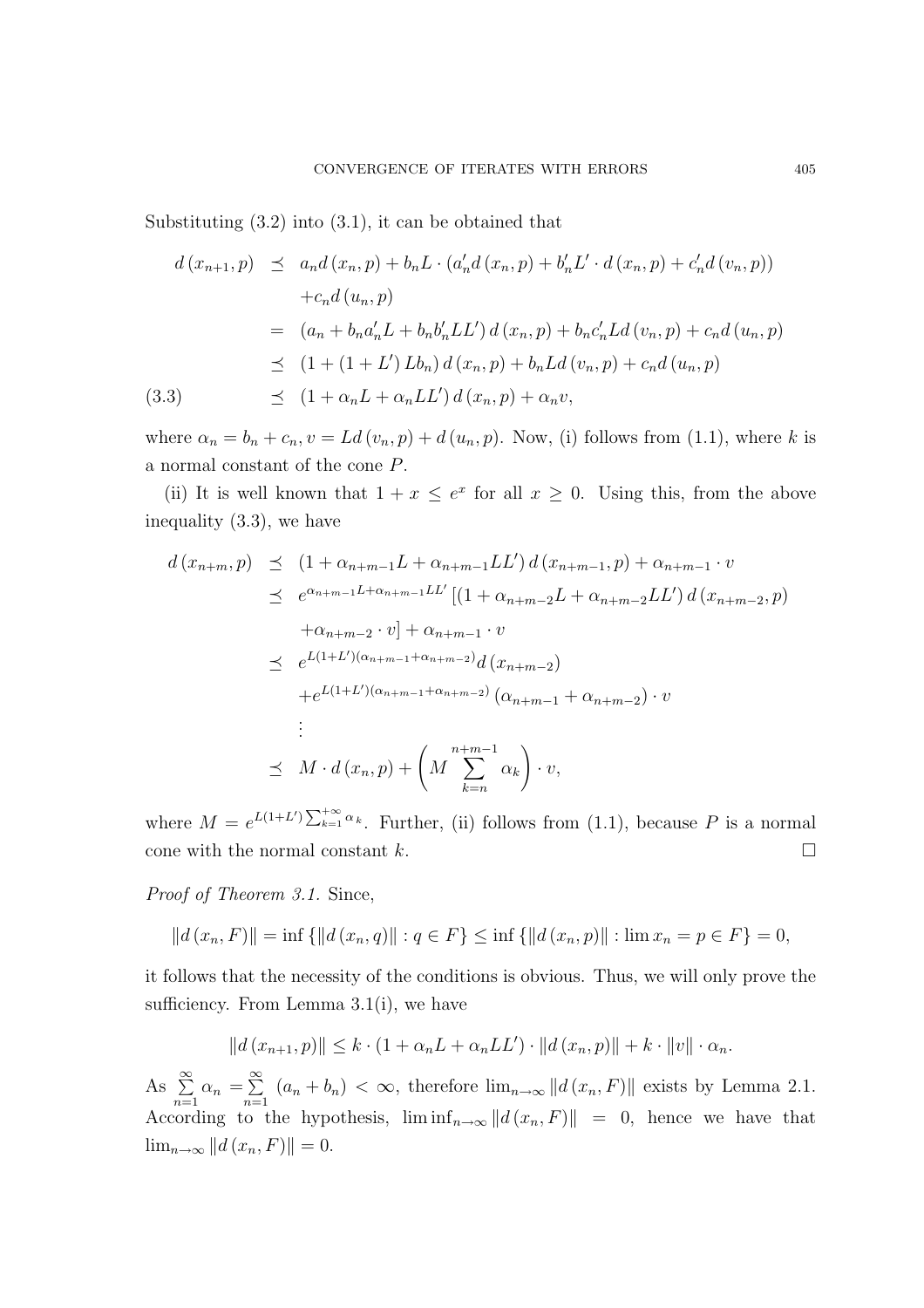Substituting (3.2) into (3.1), it can be obtained that

$$
d(x_{n+1}, p) \leq a_n d(x_n, p) + b_n L \cdot (a'_n d(x_n, p) + b'_n L' \cdot d(x_n, p) + c'_n d(v_n, p))
$$
  
+
$$
c_n d(u_n, p)
$$
  
= 
$$
(a_n + b_n a'_n L + b_n b'_n L L') d(x_n, p) + b_n c'_n L d(v_n, p) + c_n d(u_n, p)
$$
  

$$
\leq (1 + (1 + L') L b_n) d(x_n, p) + b_n L d(v_n, p) + c_n d(u_n, p)
$$
  
(3.3) 
$$
\leq (1 + \alpha_n L + \alpha_n L L') d(x_n, p) + \alpha_n v,
$$

where  $\alpha_n = b_n + c_n$ ,  $v = Ld(v_n, p) + d(u_n, p)$ . Now, (i) follows from (1.1), where k is a normal constant of the cone P.

(ii) It is well known that  $1 + x \leq e^x$  for all  $x \geq 0$ . Using this, from the above inequality (3.3), we have

$$
d(x_{n+m},p) \leq (1 + \alpha_{n+m-1}L + \alpha_{n+m-1}LL') d(x_{n+m-1},p) + \alpha_{n+m-1} \cdot v
$$
  
\n
$$
\leq e^{\alpha_{n+m-1}L + \alpha_{n+m-1}LL'} [(1 + \alpha_{n+m-2}L + \alpha_{n+m-2}LL') d(x_{n+m-2},p)
$$
  
\n
$$
+ \alpha_{n+m-2} \cdot v] + \alpha_{n+m-1} \cdot v
$$
  
\n
$$
\leq e^{L(1+L')(\alpha_{n+m-1} + \alpha_{n+m-2})} d(x_{n+m-2})
$$
  
\n
$$
+ e^{L(1+L')(\alpha_{n+m-1} + \alpha_{n+m-2})} (\alpha_{n+m-1} + \alpha_{n+m-2}) \cdot v
$$
  
\n
$$
\vdots
$$
  
\n
$$
\leq M \cdot d(x_n,p) + \left( M \sum_{k=n}^{n+m-1} \alpha_k \right) \cdot v,
$$

where  $M = e^{L(1+L')} \sum_{k=1}^{+\infty}$  $\lim_{k=1}^{\infty} \alpha_k$ . Further, (ii) follows from (1.1), because P is a normal cone with the normal constant k.  $\Box$ 

Proof of Theorem 3.1. Since,

$$
||d(x_n, F)|| = \inf \{ ||d(x_n, q)|| : q \in F \} \le \inf \{ ||d(x_n, p)|| : \lim x_n = p \in F \} = 0,
$$

it follows that the necessity of the conditions is obvious. Thus, we will only prove the sufficiency. From Lemma 3.1(i), we have

$$
||d(x_{n+1},p)|| \leq k \cdot (1+\alpha_n L + \alpha_n L L') \cdot ||d(x_n,p)|| + k \cdot ||v|| \cdot \alpha_n.
$$

As  $\sum^{\infty}$  $\sum_{n=1}^{\infty} \alpha_n = \sum_{n=1}^{\infty}$  $\sum_{n=1}$   $(a_n + b_n) < \infty$ , therefore  $\lim_{n \to \infty} ||d(x_n, F)||$  exists by Lemma 2.1. According to the hypothesis,  $\liminf_{n\to\infty} ||d(x_n, F)|| = 0$ , hence we have that  $\lim_{n\to\infty} ||d(x_n, F)|| = 0.$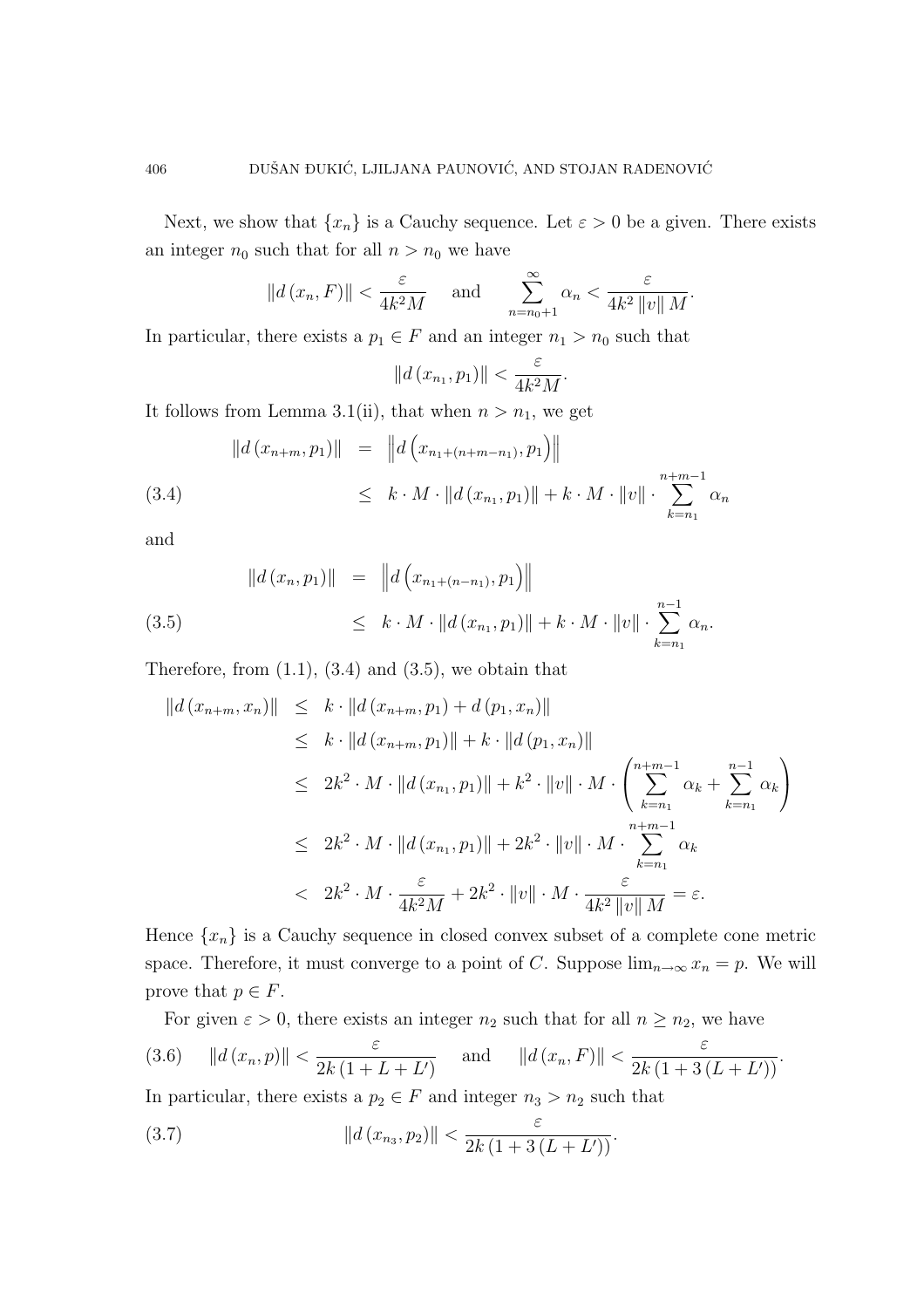Next, we show that  $\{x_n\}$  is a Cauchy sequence. Let  $\varepsilon > 0$  be a given. There exists an integer  $n_0$  such that for all  $n > n_0$  we have

$$
||d(x_n, F)|| < \frac{\varepsilon}{4k^2M}
$$
 and  $\sum_{n=n_0+1}^{\infty} \alpha_n < \frac{\varepsilon}{4k^2 ||v|| M}$ .

In particular, there exists a  $p_1 \in F$  and an integer  $n_1 > n_0$  such that

$$
||d(x_{n_1}, p_1)|| < \frac{\varepsilon}{4k^2M}.
$$

It follows from Lemma 3.1(ii), that when  $n > n_1$ , we get

$$
||d(x_{n+m}, p_1)|| = ||d(x_{n+1+m-n}, p_1)||
$$
  
\n
$$
\leq k \cdot M \cdot ||d(x_{n+1}, p_1)|| + k \cdot M \cdot ||v|| \cdot \sum_{k=n_1}^{n+m-1} \alpha_k
$$

and

$$
||d(x_n, p_1)|| = ||d(x_{n_1 + (n - n_1)}, p_1)||
$$
  
(3.5) 
$$
\leq k \cdot M \cdot ||d(x_{n_1}, p_1)|| + k \cdot M \cdot ||v|| \cdot \sum_{k=n_1}^{n-1} \alpha_k.
$$

Therefore, from  $(1.1)$ ,  $(3.4)$  and  $(3.5)$ , we obtain that

$$
||d(x_{n+m}, x_n)|| \leq k \cdot ||d(x_{n+m}, p_1) + d(p_1, x_n)||
$$
  
\n
$$
\leq k \cdot ||d(x_{n+m}, p_1)|| + k \cdot ||d(p_1, x_n)||
$$
  
\n
$$
\leq 2k^2 \cdot M \cdot ||d(x_{n+}, p_1)|| + k^2 \cdot ||v|| \cdot M \cdot \left(\sum_{k=n_1}^{n+m-1} \alpha_k + \sum_{k=n_1}^{n-1} \alpha_k\right)
$$
  
\n
$$
\leq 2k^2 \cdot M \cdot ||d(x_{n+}, p_1)|| + 2k^2 \cdot ||v|| \cdot M \cdot \sum_{k=n_1}^{n+m-1} \alpha_k
$$
  
\n
$$
< 2k^2 \cdot M \cdot \frac{\varepsilon}{4k^2 M} + 2k^2 \cdot ||v|| \cdot M \cdot \frac{\varepsilon}{4k^2 ||v|| M} = \varepsilon.
$$

Hence  $\{x_n\}$  is a Cauchy sequence in closed convex subset of a complete cone metric space. Therefore, it must converge to a point of C. Suppose  $\lim_{n\to\infty} x_n = p$ . We will prove that  $p \in F$ .

For given  $\varepsilon > 0$ , there exists an integer  $n_2$  such that for all  $n \geq n_2$ , we have

$$
(3.6) \t\t\t ||d(x_n, p)|| < \frac{\varepsilon}{2k(1 + L + L')} \t \text{ and } \t ||d(x_n, F)|| < \frac{\varepsilon}{2k(1 + 3(L + L'))}.
$$

In particular, there exists a  $p_2 \in F$  and integer  $n_3 > n_2$  such that

(3.7) 
$$
||d(x_{n_3}, p_2)|| < \frac{\varepsilon}{2k(1+3(L+L'))}.
$$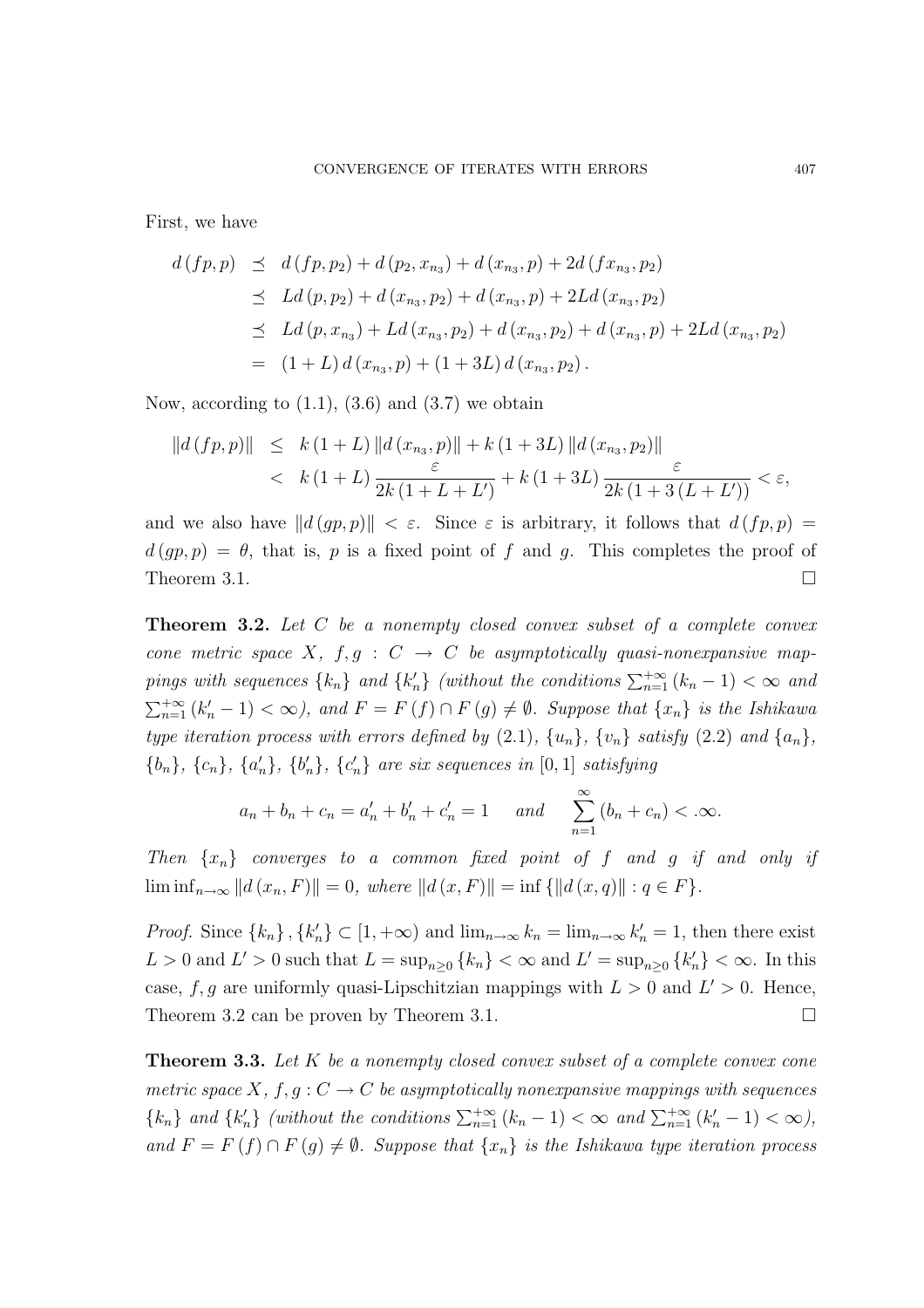First, we have

$$
d(fp, p) \preceq d(fp, p_2) + d(p_2, x_{n_3}) + d(x_{n_3}, p) + 2d(fx_{n_3}, p_2)
$$
  
\n
$$
\preceq Ld(p, p_2) + d(x_{n_3}, p_2) + d(x_{n_3}, p) + 2Ld(x_{n_3}, p_2)
$$
  
\n
$$
\preceq Ld(p, x_{n_3}) + Ld(x_{n_3}, p_2) + d(x_{n_3}, p_2) + d(x_{n_3}, p) + 2Ld(x_{n_3}, p_2)
$$
  
\n
$$
= (1 + L) d(x_{n_3}, p) + (1 + 3L) d(x_{n_3}, p_2).
$$

Now, according to  $(1.1)$ ,  $(3.6)$  and  $(3.7)$  we obtain

$$
||d(fp, p)|| \leq k (1 + L) ||d(x_{n_3}, p)|| + k (1 + 3L) ||d(x_{n_3}, p_2)||
$$
  

$$
< k (1 + L) \frac{\varepsilon}{2k (1 + L + L')} + k (1 + 3L) \frac{\varepsilon}{2k (1 + 3(L + L'))} < \varepsilon,
$$

and we also have  $||d (gp, p)|| < \varepsilon$ . Since  $\varepsilon$  is arbitrary, it follows that  $d (fp, p) =$  $d (gp, p) = \theta$ , that is, p is a fixed point of f and g. This completes the proof of Theorem 3.1.  $\Box$ 

**Theorem 3.2.** Let C be a nonempty closed convex subset of a complete convex cone metric space X,  $f, g : C \to C$  be asymptotically quasi-nonexpansive mappings with sequences  $\{k_n\}$  and  $\{k'_n\}$  (without the conditions  $\sum_{n=1}^{+\infty} (k_n - 1) < \infty$  and  $\sum_{n=1}^{+\infty} (k'_n - 1) < \infty$ , and  $F = F(f) \cap F(g) \neq \emptyset$ . Suppose that  $\{x_n\}$  is the Ishikawa type iteration process with errors defined by  $(2.1)$ ,  $\{u_n\}$ ,  $\{v_n\}$  satisfy  $(2.2)$  and  $\{a_n\}$ ,  ${b_n}$ ,  ${c_n}$ ,  ${a'_n}$ ,  ${b'_n}$ ,  ${c'_n}$  are six sequences in [0, 1] satisfying

$$
a_n + b_n + c_n = a'_n + b'_n + c'_n = 1
$$
 and  $\sum_{n=1}^{\infty} (b_n + c_n) < \infty$ .

Then  $\{x_n\}$  converges to a common fixed point of f and g if and only if  $\liminf_{n\to\infty} ||d(x_n, F)|| = 0$ , where  $||d(x, F)|| = \inf \{||d(x, q)|| : q \in F\}.$ 

*Proof.* Since  $\{k_n\}$ ,  $\{k'_n\} \subset [1, +\infty)$  and  $\lim_{n\to\infty} k_n = \lim_{n\to\infty} k'_n = 1$ , then there exist  $L > 0$  and  $L' > 0$  such that  $L = \sup_{n \geq 0} {\{k_n\}} < \infty$  and  $L' = \sup_{n \geq 0} {\{k'_n\}} < \infty$ . In this case, f, g are uniformly quasi-Lipschitzian mappings with  $L > 0$  and  $L' > 0$ . Hence, Theorem 3.2 can be proven by Theorem 3.1.  $\Box$ 

**Theorem 3.3.** Let  $K$  be a nonempty closed convex subset of a complete convex cone metric space X,  $f, g: C \to C$  be asymptotically nonexpansive mappings with sequences  ${k_n}$  and  ${k'_n}$  (without the conditions  $\sum_{n=1}^{+\infty} (k_n - 1) < \infty$  and  $\sum_{n=1}^{+\infty} (k'_n - 1) < \infty$ ), and  $F = F(f) \cap F(g) \neq \emptyset$ . Suppose that  $\{x_n\}$  is the Ishikawa type iteration process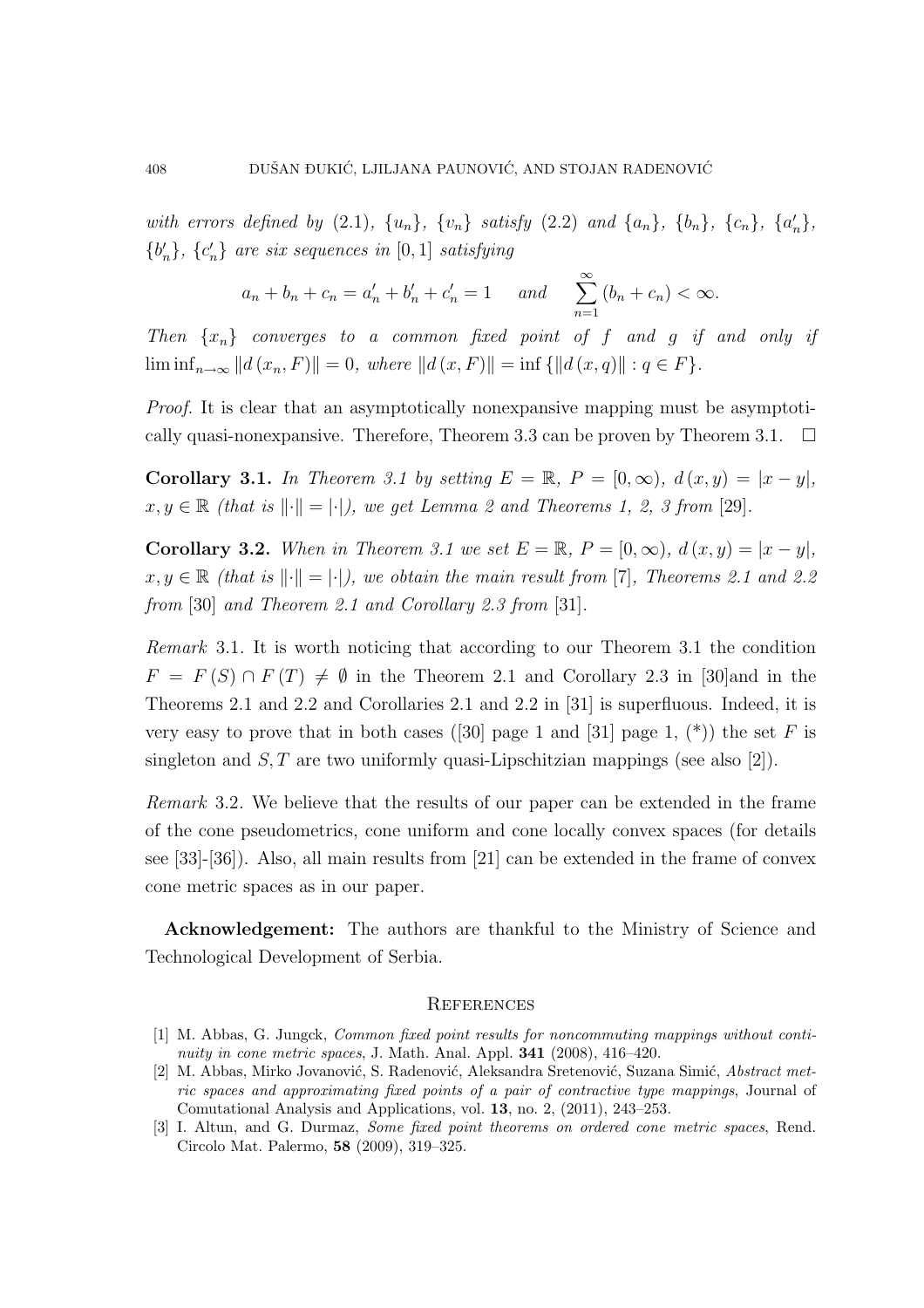with errors defined by (2.1),  $\{u_n\}$ ,  $\{v_n\}$  satisfy (2.2) and  $\{a_n\}$ ,  $\{b_n\}$ ,  $\{c_n\}$ ,  $\{a'_n\}$ ,  ${b'_n}, {c'_n}$  are six sequences in [0, 1] satisfying

$$
a_n + b_n + c_n = a'_n + b'_n + c'_n = 1
$$
 and  $\sum_{n=1}^{\infty} (b_n + c_n) < \infty$ .

Then  $\{x_n\}$  converges to a common fixed point of f and g if and only if  $\liminf_{n\to\infty} ||d(x_n, F)|| = 0$ , where  $||d(x, F)|| = \inf \{||d(x, q)|| : q \in F\}.$ 

Proof. It is clear that an asymptotically nonexpansive mapping must be asymptotically quasi-nonexpansive. Therefore, Theorem 3.3 can be proven by Theorem 3.1.  $\Box$ 

Corollary 3.1. In Theorem 3.1 by setting  $E = \mathbb{R}$ ,  $P = [0, \infty)$ ,  $d(x, y) = |x - y|$ ,  $x, y \in \mathbb{R}$  (that is  $\lVert \cdot \rVert = |\cdot|$ ), we get Lemma 2 and Theorems 1, 2, 3 from [29].

Corollary 3.2. When in Theorem 3.1 we set  $E = \mathbb{R}$ ,  $P = [0, \infty)$ ,  $d(x, y) = |x - y|$ ,  $x, y \in \mathbb{R}$  (that is  $\lVert \cdot \rVert = |\cdot|$ ), we obtain the main result from [7], Theorems 2.1 and 2.2 from [30] and Theorem 2.1 and Corollary 2.3 from [31].

Remark 3.1. It is worth noticing that according to our Theorem 3.1 the condition  $F = F(S) \cap F(T) \neq \emptyset$  in the Theorem 2.1 and Corollary 2.3 in [30] and in the Theorems 2.1 and 2.2 and Corollaries 2.1 and 2.2 in [31] is superfluous. Indeed, it is very easy to prove that in both cases ([30] page 1 and [31] page 1,  $(*)$ ) the set F is singleton and  $S, T$  are two uniformly quasi-Lipschitzian mappings (see also [2]).

Remark 3.2. We believe that the results of our paper can be extended in the frame of the cone pseudometrics, cone uniform and cone locally convex spaces (for details see [33]-[36]). Also, all main results from [21] can be extended in the frame of convex cone metric spaces as in our paper.

Acknowledgement: The authors are thankful to the Ministry of Science and Technological Development of Serbia.

#### **REFERENCES**

<sup>[1]</sup> M. Abbas, G. Jungck, Common fixed point results for noncommuting mappings without continuity in cone metric spaces, J. Math. Anal. Appl.  $341$  (2008), 416–420.

<sup>[2]</sup> M. Abbas, Mirko Jovanović, S. Radenović, Aleksandra Sretenović, Suzana Simić, Abstract metric spaces and approximating fixed points of a pair of contractive type mappings, Journal of Comutational Analysis and Applications, vol. 13, no. 2, (2011), 243–253.

<sup>[3]</sup> I. Altun, and G. Durmaz, Some fixed point theorems on ordered cone metric spaces, Rend. Circolo Mat. Palermo, 58 (2009), 319–325.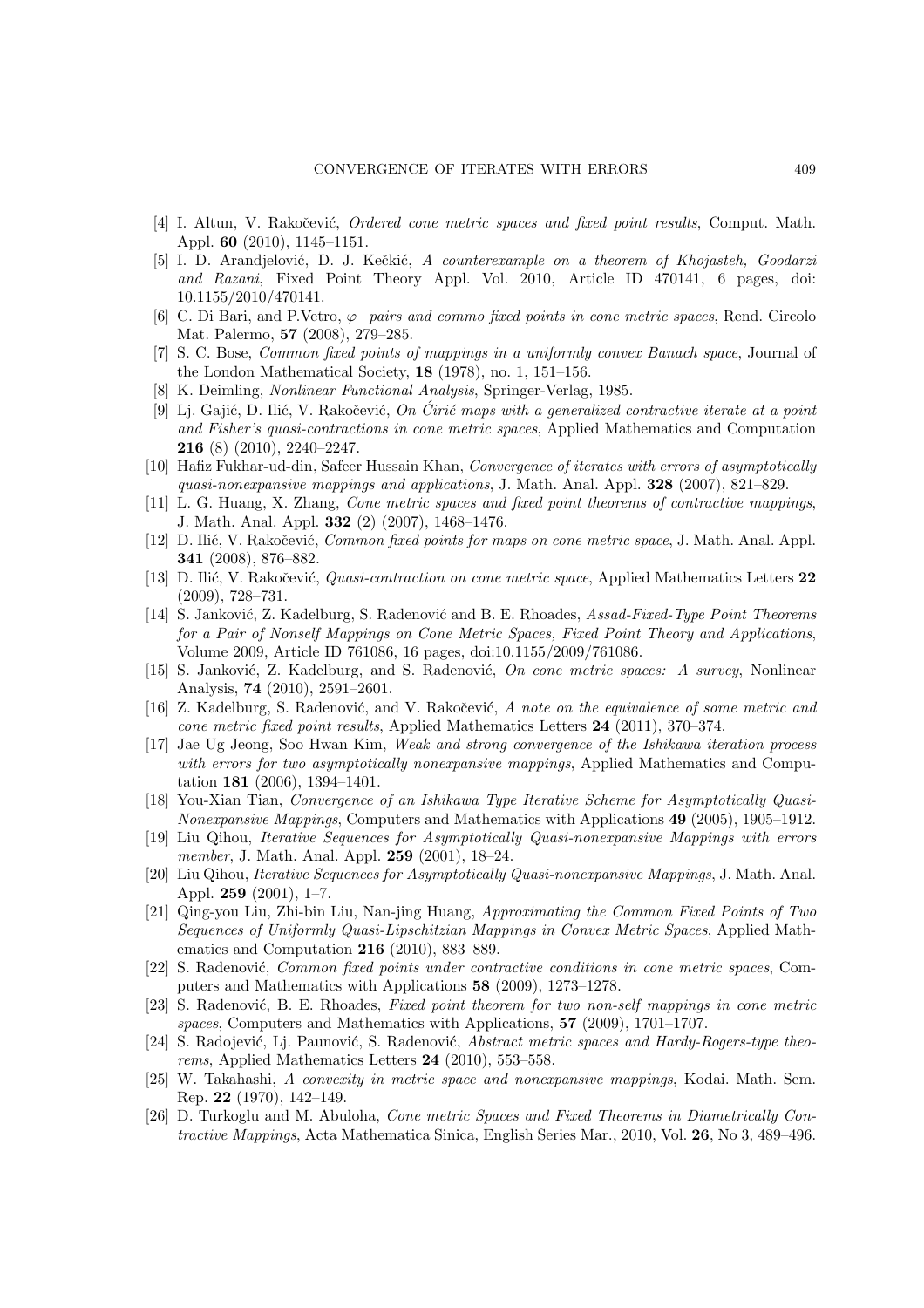- [4] I. Altun, V. Rakočević, *Ordered cone metric spaces and fixed point results*, Comput. Math. Appl. 60 (2010), 1145–1151.
- [5] I. D. Arandjelović, D. J. Kečkić, A counterexample on a theorem of Khojasteh, Goodarzi and Razani, Fixed Point Theory Appl. Vol. 2010, Article ID 470141, 6 pages, doi: 10.1155/2010/470141.
- [6] C. Di Bari, and P.Vetro,  $\varphi$ −pairs and commo fixed points in cone metric spaces, Rend. Circolo Mat. Palermo, 57 (2008), 279–285.
- [7] S. C. Bose, Common fixed points of mappings in a uniformly convex Banach space, Journal of the London Mathematical Society, 18 (1978), no. 1, 151–156.
- [8] K. Deimling, Nonlinear Functional Analysis, Springer-Verlag, 1985.
- [9] Lj. Gajić, D. Ilić, V. Rakočević, On Cirić maps with a generalized contractive iterate at a point and Fisher's quasi-contractions in cone metric spaces, Applied Mathematics and Computation 216 (8) (2010), 2240–2247.
- [10] Hafiz Fukhar-ud-din, Safeer Hussain Khan, Convergence of iterates with errors of asymptotically quasi-nonexpansive mappings and applications, J. Math. Anal. Appl. 328 (2007), 821–829.
- [11] L. G. Huang, X. Zhang, Cone metric spaces and fixed point theorems of contractive mappings, J. Math. Anal. Appl. 332 (2) (2007), 1468–1476.
- [12] D. Ilić, V. Rakočević, *Common fixed points for maps on cone metric space*, J. Math. Anal. Appl. 341 (2008), 876–882.
- [13] D. Ilić, V. Rakočević, *Quasi-contraction on cone metric space*, Applied Mathematics Letters 22 (2009), 728–731.
- [14] S. Janković, Z. Kadelburg, S. Radenović and B. E. Rhoades, Assad-Fixed-Type Point Theorems for a Pair of Nonself Mappings on Cone Metric Spaces, Fixed Point Theory and Applications, Volume 2009, Article ID 761086, 16 pages, doi:10.1155/2009/761086.
- [15] S. Janković, Z. Kadelburg, and S. Radenović, On cone metric spaces: A survey, Nonlinear Analysis, 74 (2010), 2591–2601.
- [16] Z. Kadelburg, S. Radenović, and V. Rakočević, A note on the equivalence of some metric and cone metric fixed point results, Applied Mathematics Letters 24 (2011), 370–374.
- [17] Jae Ug Jeong, Soo Hwan Kim, Weak and strong convergence of the Ishikawa iteration process with errors for two asymptotically nonexpansive mappings, Applied Mathematics and Computation 181 (2006), 1394–1401.
- [18] You-Xian Tian, Convergence of an Ishikawa Type Iterative Scheme for Asymptotically Quasi-Nonexpansive Mappings, Computers and Mathematics with Applications 49 (2005), 1905–1912.
- [19] Liu Qihou, Iterative Sequences for Asymptotically Quasi-nonexpansive Mappings with errors member, J. Math. Anal. Appl. **259** (2001), 18-24.
- [20] Liu Qihou, Iterative Sequences for Asymptotically Quasi-nonexpansive Mappings, J. Math. Anal. Appl. 259 (2001), 1–7.
- [21] Qing-you Liu, Zhi-bin Liu, Nan-jing Huang, Approximating the Common Fixed Points of Two Sequences of Uniformly Quasi-Lipschitzian Mappings in Convex Metric Spaces, Applied Mathematics and Computation 216 (2010), 883–889.
- [22] S. Radenović, *Common fixed points under contractive conditions in cone metric spaces*, Computers and Mathematics with Applications 58 (2009), 1273–1278.
- [23] S. Radenović, B. E. Rhoades, Fixed point theorem for two non-self mappings in cone metric spaces, Computers and Mathematics with Applications, 57 (2009), 1701–1707.
- [24] S. Radojević, Lj. Paunović, S. Radenović, Abstract metric spaces and Hardy-Rogers-type theorems, Applied Mathematics Letters 24 (2010), 553–558.
- [25] W. Takahashi, A convexity in metric space and nonexpansive mappings, Kodai. Math. Sem. Rep. 22 (1970), 142–149.
- [26] D. Turkoglu and M. Abuloha, Cone metric Spaces and Fixed Theorems in Diametrically Contractive Mappings, Acta Mathematica Sinica, English Series Mar., 2010, Vol. 26, No 3, 489–496.